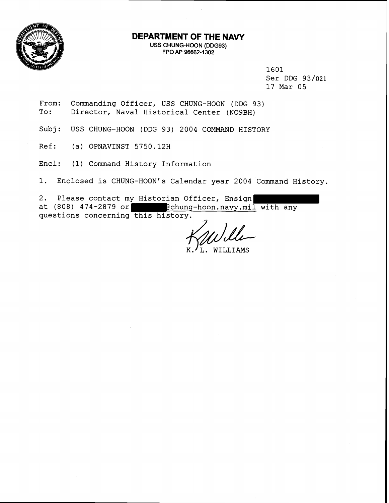

# **DEPARTMENT OF THE NAVY**

USS CHUWG-HOON (DDG93) FPO AP 96662-1302

> 1601 Ser DDG 93/021 17 Mar 05

- From: Commanding Officer, USS CHUNG-HOON (DDG 93)<br>To: Director, Naval Historical Center (NO9BH) Director, Naval Historical Center (NO9BH)
- Subj: USS CHUNG-HOON (DDG 93) 2004 COMMAND HISTORY
- Ref: (a) OPNAVINST 5750.12H

Encl: (1) Command History Information

1. Enclosed is CHUNG-HOON's Calendar year 2004 Command History.

2. Please contact my Historian Officer, Ensign at (808) 474-2879 or **@chung-hoon.navy.mil** with any questions concerning this history.

WILLIAMS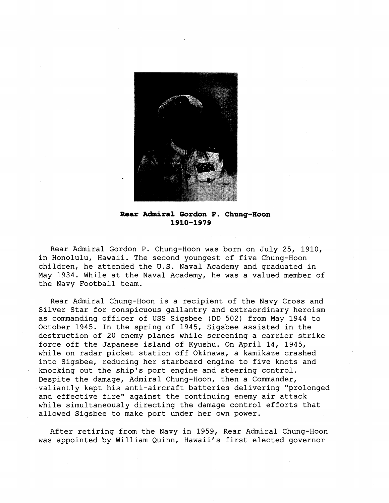

**Rear Admiral Gordon P. Chung-Hoon 1910-1979** 

Rear Admiral Gordon P. Chung-Hoon was born on July 25, 1910, in Honolulu, Hawaii. The second youngest of five Chung-Hoon children, he attended the U.S. Naval Academy and graduated in May 1934. While at the Naval Academy, he was a valued member of the Navy Football team.

Rear Admiral Chung-Hoon is a recipient of the Navy Cross and Silver Star for conspicuous gallantry and extraordinary heroism as commanding officer of USS Sigsbee (DD 502) from May 1944 to October 1945. In the spring of 1945, Sigsbee assisted in the destruction of 20 enemy planes while screening a carrier strike force off the Japanese island of Kyushu. On April 14, 1945, while on radar picket station off Okinawa, a kamikaze crashed into Sigsbee, reducing her starboard engine to five knots and knocking out the ship's port engine and steering control. Despite the damage, Admiral Chung-Hoon, then a Commander, valiantly kept his anti-aircraft batteries delivering "prolonged and effective fire" against the continuing enemy air attack while simultaneously directing the damage control efforts that allowed Sigsbee to make port under her own power.

After retiring from the Navy in 1959, Rear Admiral Chung-Hoon was appointed by William Quinn, Hawaii's first elected governor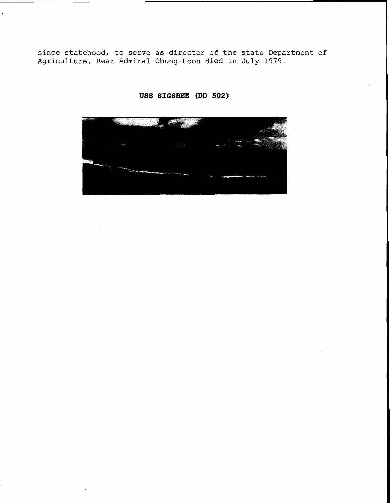**since statehood, to serve as director of the state Department of Agriculture. Rear Admiral Chung-Hoon died in July 1979.** 



**USS SIGSBEZ (DD 502)**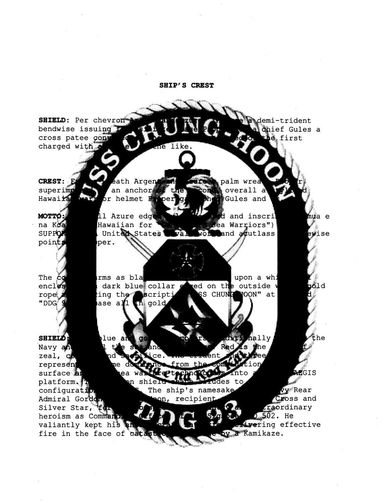**SHIP'S CREST SHIELD:** Per chevront emi-trident bendwise issuing hief Gules a cross patee cony s first charged with me like **CREST:** ath Argen palm wrea an anchor superim overall a Hawair  $6r$  helmet  $F$ Gules and рe 11 Azure edge MOTTO and inscri hua e ea Warriors") na Koa Hawaiian for **SUPPO** United States and  $a\!\!\notin\!\!u$ tlass ewise va VOE point per. The Č rms as bla upon a whi dark blue collar ed on th⊯ outside bfor  $encl$ rope **SS CHUNG** YOON" at ing the Scriptj "DDG ase all  $\mathbf{m}$  gold. **SHIELD:** lue ar hally the Navy an zeal, q ce. ad from the represen ne surface ea tett, **AEGIS** platform. shielt ades to configurati The ship's namesake  $\sigma_{\mathbf{y}}$  Rear Cross and Admiral Gord on, recipient craordinary Silver Star,  $5.502.$  He heroism as Commano ivering effective valiantly kept his Kamikaze. fire in the face of cat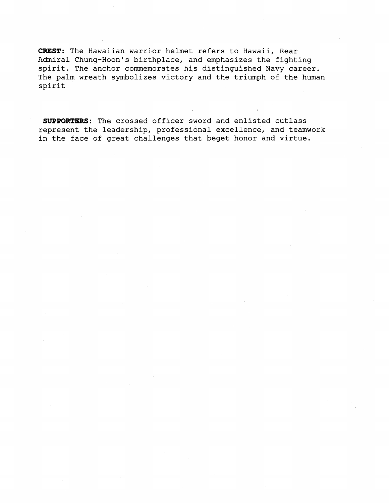CREST: The Hawaiian warrior helmet refers to Hawaii, Rear Admiral Chung-Hoon's birthplace, and emphasizes the fighting spirit. The anchor commemorates his distinguished Navy career. The palm wreath symbolizes victory and the triumph of the human spirit

SUPPORTERS: The crossed officer sword and enlisted cutlass represent the leadership, professional excellence, and teamwork in the face of great challenges that beget honor and virtue.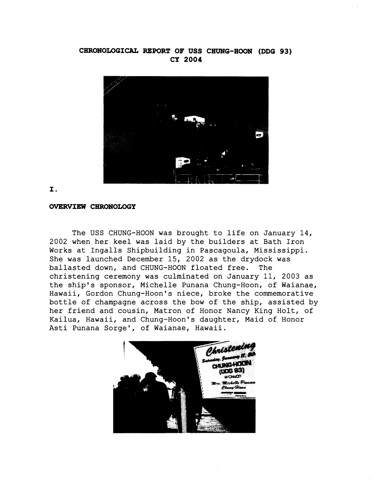# **CHRONOLOGICAL REPORT OF USS CHUNG-HOON (DDG 93) CY 2004**



## I.

#### **OVERVIEW CHRONOLOGY**

The USS CHUNG-HOON was brought to life on January 14, 2002 when her keel was laid by the builders at Bath Iron Works at Ingalls Shipbuilding in Pascagoula, Mississippi. She was launched December 15, 2002 as the drydock was ballasted down, and CHUNG-HOON floated free. The christening ceremony was culminated on January 11, 2003 as the ship's sponsor, Michelle Punana Chung-Hoon, of Waianae, Hawaii, Gordon Chung-Hoon's niece, broke the commemorative bottle of champagne across the bow of the ship, assisted by her friend and cousin, Matron of Honor Nancy King Holt, of Kailua, Hawaii, and Chung-Hoon's daughter, Maid of Honor Asti Punana Sorge', of Waianae, Hawaii.

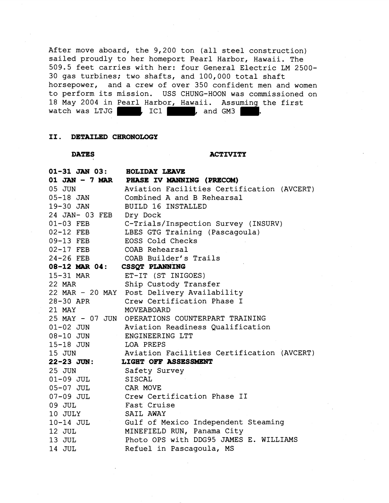After move aboard, the 9,200 ton (all steel construction) sailed proudly to her homeport Pearl Harbor, Hawaii. The 509.5 feet carries with her: four General Electric LM 2500- 30 gas turbines; two shafts, and 100,000 total shaft horsepower, and a crew of over 350 confident men and women to perform its mission. USS CHUNG-HOON was commissioned on 18 May 2004 in Pearl Harbor, Hawaii. Assuming the first watch was LTJG  $\qquad$ , IC1 , and GM3

## **11. DETAILED CHRONOLOGY**

### **DATES** ACTIVITY

| $01 - 31$ JAN $03$ : | <b>HOLIDAY LEAVE</b>                            |
|----------------------|-------------------------------------------------|
|                      | 01 JAN - 7 MAR PHASE IV MANNING (PRECOM)        |
| 05 JUN               | Aviation Facilities Certification (AVCERT)      |
| $05 - 18$ JAN        | Combined A and B Rehearsal                      |
| 19-30 JAN            | <b>BUILD 16 INSTALLED</b>                       |
| 24 JAN- 03 FEB       | Dry Dock                                        |
| 01-03 FEB            | C-Trials/Inspection Survey (INSURV)             |
| 02-12 FEB            | LBES GTG Training (Pascagoula)                  |
| 09-13 FEB            | EOSS Cold Checks                                |
| $02-17$ FEB          | COAB Rehearsal                                  |
| $24-26$ FEB          | COAB Builder's Trails                           |
| $08-12$ MAR $04:$    | CSSQT PLANNING                                  |
| 15-31 MAR            | ET-IT (ST INIGOES)                              |
| 22 MAR               | Ship Custody Transfer                           |
|                      | 22 MAR - 20 MAY Post Delivery Availability      |
| 28-30 APR            | Crew Certification Phase I                      |
| 21 MAY               | MOVEABOARD                                      |
|                      | 25 MAY - 07 JUN OPERATIONS COUNTERPART TRAINING |
| 01-02 JUN            | Aviation Readiness Qualification                |
| 08-10 JUN            | ENGINEERING LTT                                 |
| 15-18 JUN            | LOA PREPS                                       |
| 15 JUN               | Aviation Facilities Certification (AVCERT)      |
| 22-23 JUN:           | LIGHT OFF ASSESSMENT                            |
| 25 JUN               | Safety Survey                                   |
| $01-09$ JUL          | <b>SISCAL</b>                                   |
| $05-07$ JUL          | CAR MOVE                                        |
| 07-09 JUL            | Crew Certification Phase II                     |
| 09 JUL               | Fast Cruise                                     |
| 10 JULY              | SAIL AWAY                                       |
| 10-14 JUL            | Gulf of Mexico Independent Steaming             |
| 12 JUL               | MINEFIELD RUN, Panama City                      |
| 13 JUL               | Photo OPS with DDG95 JAMES E. WILLIAMS          |
| 14 JUL               | Refuel in Pascagoula, MS                        |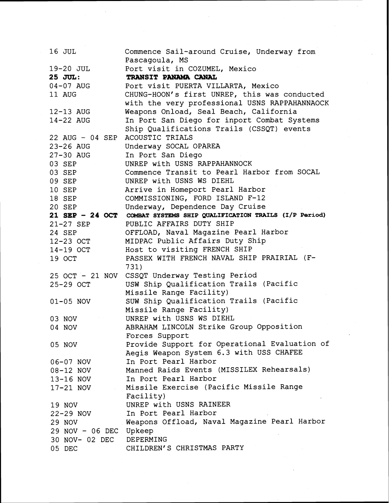| 16 JUL                 | Commence Sail-around Cruise, Underway from                |
|------------------------|-----------------------------------------------------------|
|                        | Pascagoula, MS                                            |
| 19-20 JUL              | Port visit in COZUMEL, Mexico                             |
| 25 JUL:                | TRANSIT PANAMA CANAL                                      |
| 04-07 AUG              | Port visit PUERTA VILLARTA, Mexico                        |
| 11 AUG                 | CHUNG-HOON's first UNREP, this was conducted              |
|                        | with the very professional USNS RAPPAHANNAOCK             |
| 12-13 AUG              | Weapons Onload, Seal Beach, California                    |
| 14-22 AUG              | In Port San Diego for inport Combat Systems               |
|                        | Ship Qualifications Trails (CSSQT) events                 |
| 22 AUG - 04 SEP        | ACOUSTIC TRIALS                                           |
| 23-26 AUG              | Underway SOCAL OPAREA                                     |
| 27-30 AUG              | In Port San Diego                                         |
| 03 SEP                 | UNREP with USNS RAPPAHANNOCK                              |
| 03 SEP                 | Commence Transit to Pearl Harbor from SOCAL               |
| 09 SEP                 | UNREP with USNS WS DIEHL                                  |
| <b>10 SEP</b>          | Arrive in Homeport Pearl Harbor                           |
| 18 SEP                 | COMMISSIONING, FORD ISLAND F-12                           |
| 20 SEP                 | Underway, Dependence Day Cruise                           |
| 21 SEP - 24 OCT        | COMBAT SYSTEMS SHIP QUALIFICATION TRAILS (I/P Period)     |
| 21-27 SEP              | PUBLIC AFFAIRS DUTY SHIP                                  |
| 24 SEP                 | OFFLOAD, Naval Magazine Pearl Harbor                      |
| 12-23 OCT              | MIDPAC Public Affairs Duty Ship                           |
| 14-19 OCT              | Host to visiting FRENCH SHIP                              |
| 19 OCT                 | PASSEX WITH FRENCH NAVAL SHIP PRAIRIAL (F-                |
|                        | 731)                                                      |
| 25 OCT - 21 NOV        | CSSQT Underway Testing Period                             |
| 25-29 OCT              | USW Ship Qualification Trails (Pacific                    |
|                        | Missile Range Facility)                                   |
| $01-05$ NOV            | SUW Ship Qualification Trails (Pacific                    |
|                        | Missile Range Facility)                                   |
| 03 NOV                 | UNREP with USNS WS DIEHL                                  |
| 04 NOV                 | ABRAHAM LINCOLN Strike Group Opposition<br>Forces Support |
|                        | Provide Support for Operational Evaluation of             |
| 05 NOV                 | Aegis Weapon System 6.3 with USS CHAFEE                   |
|                        | In Port Pearl Harbor                                      |
| 06-07 NOV<br>08-12 NOV | Manned Raids Events (MISSILEX Rehearsals)                 |
| 13-16 NOV              | In Port Pearl Harbor                                      |
| 17-21 NOV              | Missile Exercise (Pacific Missile Range                   |
|                        | Facility)                                                 |
| 19 NOV                 | UNREP with USNS RAINEER                                   |
| 22-29 NOV              | In Port Pearl Harbor                                      |
| 29 NOV                 | Weapons Offload, Naval Magazine Pearl Harbor              |
| 29 NOV - 06 DEC        | Upkeep                                                    |
| 30 NOV- 02 DEC         | DEPERMING                                                 |
| 05 DEC                 | CHILDREN'S CHRISTMAS PARTY                                |
|                        |                                                           |

 $\label{eq:2.1} \frac{1}{\sqrt{2}}\int_{\mathbb{R}^3}\frac{1}{\sqrt{2}}\left(\frac{1}{\sqrt{2}}\right)^2\frac{1}{\sqrt{2}}\left(\frac{1}{\sqrt{2}}\right)^2\frac{1}{\sqrt{2}}\left(\frac{1}{\sqrt{2}}\right)^2\frac{1}{\sqrt{2}}\left(\frac{1}{\sqrt{2}}\right)^2.$ 

 $\sim$ 

 $\ddot{\phantom{0}}$ 

 $\label{eq:2.1} \frac{1}{\sqrt{2\pi}}\int_{0}^{\infty}\frac{d\mu}{\sqrt{2\pi}}\frac{d\mu}{\sqrt{2\pi}}\frac{d\mu}{\sqrt{2\pi}}\frac{d\mu}{\sqrt{2\pi}}\frac{d\mu}{\sqrt{2\pi}}\frac{d\mu}{\sqrt{2\pi}}\frac{d\mu}{\sqrt{2\pi}}\frac{d\mu}{\sqrt{2\pi}}\frac{d\mu}{\sqrt{2\pi}}\frac{d\mu}{\sqrt{2\pi}}\frac{d\mu}{\sqrt{2\pi}}\frac{d\mu}{\sqrt{2\pi}}\frac{d\mu}{\sqrt{2\pi}}\frac{d\mu}{\$